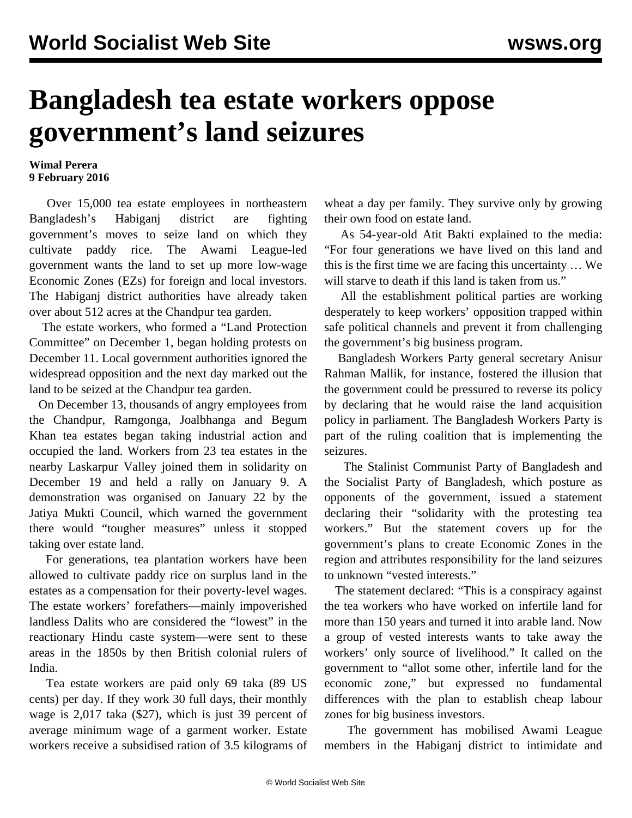## **Bangladesh tea estate workers oppose government's land seizures**

## **Wimal Perera 9 February 2016**

 Over 15,000 tea estate employees in northeastern Bangladesh's Habiganj district are fighting government's moves to seize land on which they cultivate paddy rice. The Awami League-led government wants the land to set up more low-wage Economic Zones (EZs) for foreign and local investors. The Habiganj district authorities have already taken over about 512 acres at the Chandpur tea garden.

 The estate workers, who formed a "Land Protection Committee" on December 1, began holding protests on December 11. Local government authorities ignored the widespread opposition and the next day marked out the land to be seized at the Chandpur tea garden.

 On December 13, thousands of angry employees from the Chandpur, Ramgonga, Joalbhanga and Begum Khan tea estates began taking industrial action and occupied the land. Workers from 23 tea estates in the nearby Laskarpur Valley joined them in solidarity on December 19 and held a rally on January 9. A demonstration was organised on January 22 by the Jatiya Mukti Council, which warned the government there would "tougher measures" unless it stopped taking over estate land.

 For generations, tea plantation workers have been allowed to cultivate paddy rice on surplus land in the estates as a compensation for their poverty-level wages. The estate workers' forefathers—mainly impoverished landless Dalits who are considered the "lowest" in the reactionary Hindu caste system—were sent to these areas in the 1850s by then British colonial rulers of India.

 Tea estate workers are paid only 69 taka (89 US cents) per day. If they work 30 full days, their monthly wage is 2,017 taka (\$27), which is just 39 percent of average minimum wage of a garment worker. Estate workers receive a subsidised ration of 3.5 kilograms of wheat a day per family. They survive only by growing their own food on estate land.

 As 54-year-old Atit Bakti explained to the media: "For four generations we have lived on this land and this is the first time we are facing this uncertainty … We will starve to death if this land is taken from us."

 All the establishment political parties are working desperately to keep workers' opposition trapped within safe political channels and prevent it from challenging the government's big business program.

 Bangladesh Workers Party general secretary Anisur Rahman Mallik, for instance, fostered the illusion that the government could be pressured to reverse its policy by declaring that he would raise the land acquisition policy in parliament. The Bangladesh Workers Party is part of the ruling coalition that is implementing the seizures.

 The Stalinist Communist Party of Bangladesh and the Socialist Party of Bangladesh, which posture as opponents of the government, issued a statement declaring their "solidarity with the protesting tea workers." But the statement covers up for the government's plans to create Economic Zones in the region and attributes responsibility for the land seizures to unknown "vested interests."

 The statement declared: "This is a conspiracy against the tea workers who have worked on infertile land for more than 150 years and turned it into arable land. Now a group of vested interests wants to take away the workers' only source of livelihood." It called on the government to "allot some other, infertile land for the economic zone," but expressed no fundamental differences with the plan to establish cheap labour zones for big business investors.

 The government has mobilised Awami League members in the Habiganj district to intimidate and